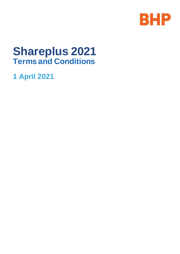

# **Shareplus 2021 Terms and Conditions**

**1 April 2021**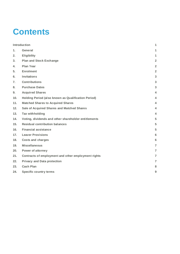# **Contents**

|                | <b>Introduction</b>                                  |                 |
|----------------|------------------------------------------------------|-----------------|
| $\mathbf{1}$ . | <b>General</b>                                       | 1               |
| 2.             | <b>Eligibility</b>                                   | 1               |
| 3.             | <b>Plan and Stock Exchange</b>                       | $\overline{2}$  |
| 4.             | <b>Plan Year</b>                                     | $\overline{2}$  |
| 5.             | <b>Enrolment</b>                                     | $\overline{2}$  |
| 6.             | <b>Invitations</b>                                   | 3               |
| 7.             | <b>Contributions</b>                                 | 3               |
| 8.             | <b>Purchase Dates</b>                                | $\mathbf{3}$    |
| 9.             | <b>Acquired Shares</b>                               | 4               |
| 10.            | Holding Period (also known as Qualification Period)  | 4               |
| 11.            | <b>Matched Shares to Acquired Shares</b>             | 4               |
| 12.            | Sale of Acquired Shares and Matched Shares           | 4               |
| 13.            | <b>Tax withholding</b>                               | $\overline{4}$  |
| 14.            | Voting, dividends and other shareholder entitlements | 5               |
| 15.            | <b>Residual contribution balances</b>                | 5               |
| 16.            | <b>Financial assistance</b>                          | 5               |
| 17.            | <b>Leaver Provisions</b>                             | 6               |
| 18.            | <b>Costs and charges</b>                             | $6\phantom{1}6$ |
| 19.            | <b>Miscellaneous</b>                                 | $\overline{7}$  |
| 20.            | <b>Power of attorney</b>                             | $\overline{7}$  |
| 21.            | Contracts of employment and other employment rights  | $\overline{7}$  |
| 22.            | <b>Privacy and Data protection</b>                   | $\overline{7}$  |
| 23.            | <b>Cash Plan</b>                                     | 8               |
| 24.            | <b>Specific country terms</b>                        | 9               |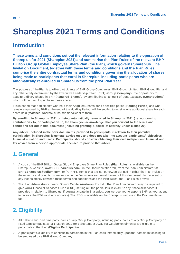# **Shareplus 2021 Terms and Conditions**

#### <span id="page-2-0"></span>**Introduction**

**These terms and conditions set out the relevant information relating to the operation of Shareplus for 2021 (Shareplus 2021) and summarise the Plan Rules of the relevant BHP Billiton Group Global Employee Share Plan (the Plan), which governs Shareplus. The Invitation Document, together with these terms and conditions and the Plan Rules, comprise the entire contractual terms and conditions governing the allocation of shares being made to participants that enrol in Shareplus, including participants who are automatically re-enrolled in Shareplus from the prior Plan Year.**

The purpose of the Plan is to offer participants of BHP Group Companies, BHP Group Limited, BHP Group Plc, and any other entity determined by the Executive Leadership Team (**ELT**) (**Group Company**), the opportunity to acquire ordinary shares in BHP (**Acquired Shares**), by contributing an amount of post-tax salary (**Contributions**) which will be used to purchase these shares.

It is intended that participants who hold their Acquired Shares for a specified period (**Holding Period**) and who remain employed by BHP at the end of the Holding Period, will be entitled to receive one additional share for each share held (**Matched Shares**) at no additional cost to them.

**By enrolling in Shareplus 2021 or being automatically re-enrolled in Shareplus 2021 (i.e. not ceasing contributions to, or participation in, the Plan), you acknowledge that you consent to the terms and conditions set out in this document (including granting a power of attorney under clause 20).**

**Any advice included in the offer documents provided to participants in relation to their potential participation in Shareplus is general advice only and does not take into account participants' objectives, financial situation and needs. Participants should consider obtaining their own independent financial and tax advice from a person appropriate licensed to provide that advice.** 

## <span id="page-2-1"></span>**1. General**

- a. A copy of the BHP Billiton Group Global Employee Share Plan Rules (**Plan Rules**) is available on the Shareplus website, **[www.BHPShareplus.com](http://www.bhpshareplus.com/)**, in the Documentation tab, from the Plan Administrator at **[BHPBShareplus@solium.com](mailto:BHPBshareplans@computershare.com.au)** or from HR. Terms that are not otherwise defined in either the Plan Rules or these terms and conditions are set out in the Definitions section at the end of this document. In the event of any inconsistency between these terms and conditions and the Plan Rules, the Plan Rules prevail.
- b. The Plan Administrator means Solium Capital (Australia) Pty Ltd. The Plan Administrator may be required to give you a Financial Services Guide (**FSG**) setting out the particulars relevant to any financial services it provides in relation to Shareplus. If you participate in Shareplus, you are deemed to appoint BHP as your agent to receive the FSG (and any updates). The FSG is available on the Shareplus website in the Documentation tab.

# <span id="page-2-2"></span>**2. Eligibility**

- a. All full time and part time participants of any Group Company, including participants of any Group Company on fixed term contracts, as at 1 March 2021 (or 1 September 2021, for October enrolments) are eligible to participate in the Plan (**Eligible Participants**).
- b. A participant's eligibility to continue to participate in the Plan ends immediately upon the participant ceasing to be employed by a BHP Group Company.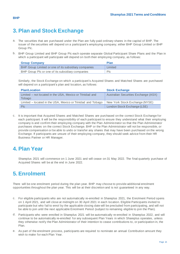# <span id="page-3-0"></span>**3. Plan and Stock Exchange**

- a. The securities that are purchased under the Plan are fully paid ordinary shares in the capital of BHP. The issuer of the securities will depend on a participant's employing company; either BHP Group Limited or BHP Group Plc.
- b. BHP Group Limited and BHP Group Plc each operate separate Global Participant Share Plans and the Plan in which a participant will participate will depend on both their employing company, as follows:

| <b>Group Company</b>                                 | <b>Plan</b> |
|------------------------------------------------------|-------------|
| BHP Group Limited or one of its subsidiary companies | Limited     |
| BHP Group PIc or one of its subsidiary companies     | <b>PIc</b>  |

Similarly, the Stock Exchange on which a participant's Acquired Shares and Matched Shares are purchased will depend on a participant's plan and location, as follows:

| <b>Plan/Location</b>                                               | <b>Stock Exchange</b>                |  |
|--------------------------------------------------------------------|--------------------------------------|--|
| Limited – not located in the USA, Mexico or Trinidad and<br>Tobago | Australian Securities Exchange (ASX) |  |
| Limited – located in the USA, Mexico or Trinidad and Tobago        | New York Stock Exchange (NYSE)       |  |
| <b>PIC</b>                                                         | London Stock Exchange (LSE)          |  |

c. It is important that Acquired Shares and Matched Shares are purchased on the correct Stock Exchange for each participant. It will be the responsibility of each participant to ensure they understand what their employing company is and confirm their employing company with the Plan Adminis trator so that the Plan Administrator purchases shares on the correct Stock Exchange. BHP or the Plan Administrator will not be responsible, or provide compensation or be able to undo or transfer any shares that may have been purchased on the wrong Exchange. If participants are unsure of their employing company, they should seek advice from their HR Business Partner or HR Manager.

## <span id="page-3-1"></span>**4. Plan Year**

Shareplus 2021 will commence on 1 June 2021 and will cease on 31 May 2022. The final quarterly purchase of Acquired Shares will be at the end in June 2022.

# <span id="page-3-2"></span>**5. Enrolment**

There will be one enrolment period during the plan year. BHP may choose to provide additional enrolment opportunities throughout the plan year. This will be at their discretion and is not guaranteed in any way.

- c. For eligible participants who are not automatically re-enrolled in Shareplus 2021, the Enrolment Period opens on 1 April 2021, and will close at midnight on 30 April 2021 in each location. Eligible Participants invited to participate but who fail to enrol by the applicable closing date will be precluded from participating, and will not be able to join until the next applicable Enrolment Period (subject to remaining eligible to join the Plan).
- d. Participants who were enrolled in Shareplus 2021 will be automatically re-enrolled in Shareplus 2022, and will continue to be automatically re-enrolled for any subsequent Plan Years in which Shareplus operates, unless they otherwise notify the Plan Administrator of their intention to cease contributions to, or participation in, the Plan.
- e. As part of the enrolment process, participants are required to nominate an annual Contribution amount they wish to make for each Plan Year.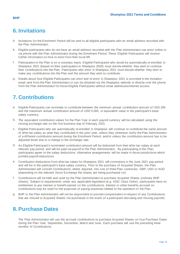## <span id="page-4-0"></span>**6. Invitations**

- a. Invitations for the Enrolment Period will be sent to all eligible participants with an email address recorded with the Plan Administrator.
- b. Eligible participants who do not have an email address recorded with the Plan Administrator can enrol online or via phone with the Plan Administrator during the Enrolment Period. These Eligible Participants will receive further information on how to enrol from their local HR.
- f. Participation in the Plan is on a voluntary basis. Eligible Participants who would be automatically re-enrolled in Shareplus 2021 (based on their participation in Shareplus 2020) must decide whether they wish to continue their contributions into the Plan. Participants who enrol in Shareplus 2021 must decide whether they wish to make any contributions into the Plan and the amount they wish to contribute.
- g. Details about how Eligible Participants can enrol and re-enrol in Shareplus 2021 is provided in the Invitation email sent from the Plan Administrator or can be obtained via the Shareplus website or directly over the phone from the Plan Administrator for those Eligible Participants without email addresses/internet access.

## <span id="page-4-1"></span>**7. Contributions**

- a. Eligible Participants can nominate to contribute between the minimum annual contribution amount of USD 200 and the maximum annual contribution amount of USD 5,000, or equivalent value in the participant's base salary currency.
- b. The equivalent contribution values for the Plan Year in each payroll currency will be calculated using the closing exchange rate on the first business day of February 2021.
- c. Eligible Participants who are automatically re-enrolled in Shareplus will continue to contribute the same amount of after-tax salary as what they contributed in the prior year, unless they otherwise notify the Plan Administrator of a different contribution amount during the Enrolment Period, and/or unless the contribution amount has to be adjusted down due to a change in the exchange rate.
- d. An Eligible Participant's nominated contribution amount will be deducted from their after-tax salary at each relevant pay period, and will be paid via payroll to the Plan Administrator. By participating in the Plan, participants agree to the salary deductions. Alternative arrangements will be made in those jurisdictions which prohibit payroll deductions.
- e. Contribution deductions from after-tax salary for Shareplus 2021 will commence in the June 2021 pay period and will be in the participant's base salary currency. Prior to the purchase of Acquired Shares, the Plan Administrator will convert Contributions, where required, into one of three Plan currencies: GBP, USD or AUD (depending on the relevant Stock Exchange the shares are being purchased on).
- f. Contributions will be held and used by the Plan Administrator to purchase Acquired Shares (ordinary BHP shares). Subject to requirements under any applicable legislation (e.g. ASIC Class Order), participants have no entitlement to any interest or benefit earned on the contributions. Interest or other benefits accrued on contributions may be used for the purposes of paying expenses related to the operation of the Plan.
- g. BHP or the Plan Administrator will not be responsible or provide compensation in respect of any Contributions that are missed or Acquired Shares not purchased in the event of a participant relocating and moving payrolls.

#### <span id="page-4-2"></span>**8. Purchase Dates**

The Plan Administrator will use the accrued contributions to purchase Acquired Shares on four Purchase Dates during the Plan Year: September, December, March and June. Each purchase will use the preceding three months' of Contributions.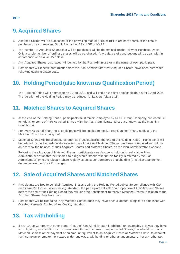## <span id="page-5-0"></span>**9. Acquired Shares**

- a. Acquired Shares will be purchased at the prevailing market price of BHP's ordinary shares at the time of purchase on each relevant Stock Exchange (ASX, LSE or NYSE).
- b. The number of Acquired Shares that will be purchased will be determined on the relevant Purchase Dates. Only a whole number of ordinary shares will be purchased. Any balance of contributions will be dealt with in accordance with clause 15 below.
- c. Any Acquired Shares purchased will be held by the Plan Administrator in the name of each participant.
- d. Participants will receive confirmation from the Plan Administrator that Acquired Shares have been purchased following each Purchase Date.

## <span id="page-5-1"></span>**10. Holding Period (also known as Qualification Period)**

The Holding Period will commence on 1 April 2021 and will end on the first practicable date after 8 April 2024. The duration of the Holding Period may be reduced for Leavers (clause 18).

## <span id="page-5-2"></span>**11. Matched Shares to Acquired Shares**

- a. At the end of the Holding Period, participants must remain employed by a BHP Group Company and continue to hold all or some of their Acquired Shares with the Plan Administrator (these are known as the Matching Conditions).
- b. For every Acquired Share held, participants will be entitled to receive one Matched Share, subject to the Matching Conditions being met.
- c. Matched Shares will be allocated as soon as practicable after the end of the Holding Period. Participants will be notified by the Plan Administrator when the allocation of Matched Shares has been completed and will be able to view the balance of their Acquired Shares and Matched Shares on the Plan Administrator's website.

Following the allocation of Matched Shares, participants can choose to hold on to, sell via the Plan Administrator or transfer their shares to a registered stockbroker (if this facility is offered by the Plan Administrator) or to the relevant share registry as an issuer sponsored shareholding (or similar arrangement depending on the Stock Exchange).

## <span id="page-5-3"></span>**12. Sale of Acquired Shares and Matched Shares**

- a. Participants are free to sell their Acquired Shares during the Holding Period subject to compliance with *Our Requirements for Securities Dealing* standard. If a participant sells all or a proportion of their Acquired Shares before the end of the Holding Period they will lose their entitlement to receive Matched Shares in relation to the Acquired Shares they have sold.
- b. Participants will be free to sell any Matched Shares once they have been allocated, subject to compliance with *Our Requirements for Securities Dealing* standard.

## <span id="page-5-4"></span>**13. Tax withholding**

a. If any Group Company or other person (i.e. the Plan Administrator) is obliged, or reasonably believes they have an obligation, as a result of or in connection with the purchase of any Acquired Shares; the allocation of any Matched Shares; or the payment of an amount equivalent to an Acquired Share or Matched Share, to account for income tax or employment taxes under any wage, withholding or other arrangements or for any other tax,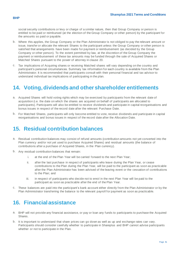social security contributions or levy or charge of a similar nature, then that Group Company or person is entitled to be paid or reimbursed (at the election of the Group Company or other person) by the participant for the amounts so paid or payable.

- b. Where this applies, the Group Company or the Plan Administrator is not obliged to pay the relevant amount or issue, transfer or allocate the relevant Shares to the participant unless the Group Company or other person is satisfied that arrangements have been made for payment or reimbursement (as decided by the Group Company or other person). To the extent permitted by law, at the discretion of the Group Company the payment or reimbursement of these tax amounts may be funded through the sale of Acquired Shares or Matched Shares pursuant to the power of attorney in clause 20.
- c. Tax implications of Acquiring shares or receiving Matched shares will vary depending on the country and participant's personal circumstances. Summary tax information for each country is available from the Plan Administrator. It is recommended that participants consult with their personal financial and tax advisor to understand individual tax implications of participating in the plan.

## <span id="page-6-0"></span>**14. Voting, dividends and other shareholder entitlements**

- a. Acquired Shares will hold voting rights which may be exercised by participants from the relevant date of acquisition (i.e. the date on which the shares are acquired on behalf of participants are allocated to participants). Participants will also be entitled to receive dividends and participate in capital reorganisations and bonus issues in respect of the record date after the relevant Purchase Date.
- b. For Matched Shares, participants will only become entitled to vote, receive dividends and participate in capital reorganisations and bonus issues in respect of the record date after the Allocation Date.

#### <span id="page-6-1"></span>**15. Residual contribution balances**

- a. Residual contribution balances may consist of refund amounts (contribution amounts not yet converted into the Plan currency and/or not yet used to purchase Acquired Shares) and residual amounts (the balance of contributions after a purchase of Acquired Shares, in the Plan currency).
- b. Any residual contribution balances that remain:
	- i. at the end of the Plan Year will be carried forward to the next Plan Year;
	- ii. after the last purchase in respect of participants who leave during the Plan Year, or cease contributions to the Plan during the Plan Year, will be paid to the participant as soon as practicable after the Plan Administrator has been advised of the leaving event or the cessation of contributions to the Plan; and
	- iii. in respect of participants who decide not to enrol in the next Plan Year will be paid to the participant as soon as practicable after the end of the Plan Year.
- c. These balances are paid into the participant's bank account either directly from the Plan Administrator or by the Plan Administrator transferring the balance to the relevant payroll for payment as soon as practicable.

## <span id="page-6-2"></span>**16. Financial assistance**

- a. BHP will not provide any financial assistance, or pay or loan any funds to participants to purchase the Acquired Shares.
- b. It is important to understand that share prices can go down as well as up and exchange rates can vary. Participants should consider carefully whether to participate in Shareplus and BHP cannot advise participants whether or not to participate in the Plan.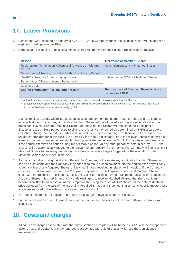# <span id="page-7-0"></span>**17. Leaver Provisions**

- a. Participants who cease to be employed by a BHP Group Company during the Holding Period will no longer be eligible to participate in the Plan.
- b. A participant's eligibility to receive Matched Shares will depend on their reason for leaving, as follows:

| <b>Reason</b>                                                                    | <b>Treatment of Matched Shares</b>                              |
|----------------------------------------------------------------------------------|-----------------------------------------------------------------|
| Resignation / Termination / Dismissal for cause or Without<br>Cause <sup>*</sup> | No entitlement to any Matched Shares                            |
| Natural end of fixed term contract within the Holding Period                     |                                                                 |
| Death** / Disability / Serious injury / Illness                                  | Entitlement to 100% of Matched Shares                           |
| Redundancy / Retrenchment / Retirement***                                        |                                                                 |
| Business sale                                                                    |                                                                 |
| Ending employment for any other reason                                           | The treatment of Matched Shares is at the<br>discretion of BHP. |

\* 'Without Cause' is defined by legislation in Canada and only applicable to employees employed in Canada.

\*\* Special conditions apply to a participant's Acquired Shares and conditional rights to Matched Shares in the event of their death.

- c. Subject to clause 18(b), where a participant ceases employment during the Holding Period and is eligible to receive Matched Shares, any applicable Matched Shares will be allocated as soon as practicable after the participant leaves BHP. The Matched Shares and the Acquired Shares will remain in the participant's Shareplus account for a period of up to six months (or any other period as determined by BHP) after date of cessation. During that period the participant can sell their Shares or arrange for them to be transferred to a registered stockbroker (if this facility is offered by the Plan Administrator) or to the relevant share registry as an issuer sponsored shareholding (or similar arrangement depending on the Stock Exchange) in their own name. If the participant takes no action during the six month period (or any other period as determined by BHP), the Shares will be automatically moved to the relevant share registry in their name. The Company will sell sufficient Matched Shares to cover any mandatory taxes/social security charges triggered by the allocation of the Matched Shares, as outlined in clause 13.
- d. If a participant dies during the Holding Period, the Company will allocate any applicable Matched Shares as soon as practicable and the Company may choose to make a cash payment into the participant's payroll bank account in lieu of any Acquired Shares or Matched Shares received in relation to Shareplus. If the Company chooses to make a cash payment, the Company may sell both the Acquired Shares and Matched Shares to assist with the funding of the cash payment. The value of the cash payment will be the value of the participant's Acquired Shares, Matched Shares and conditional rights to receive Matched Shares (that the participant becomes entitled to on cessation of their employment) using the price of BHP shares on the date of death or price achieved from the sale of the underlying Acquired Shares and Matched Shares, whichever is greater, less any taxes required to be withheld on sale or through payroll.
- e. The participant grants the power of attorney in clause 20 to give effect to this clause 17.
- f. Further on cessation of employment, any residual contribution balances will be dealt with in accordance with clause 15.

#### <span id="page-7-1"></span>**18. Costs and charges**

All costs and charges associated with the administration of the plan will be borne by BHP, with the exception of Income Tax and Capital Gains Tax and costs associated with sale of shares which are the participant's responsibility.

<sup>\*\*\*</sup> Includes fixed term contracts ended early by BHP.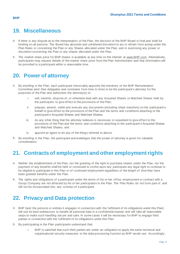#### <span id="page-8-0"></span>**19. Miscellaneous**

- a. If there is any dispute as to the interpretation of the Plan, the decision of the BHP Board is final and shall be binding on all persons. The Board has absolute and unfettered discretion to act or refrain from acting under the Plan Rules or concerning the Plan or any Shares allocated under the Plan; and in exercising any power or discretion concerning the Plan or any shares allocated under the Plan.
- b. The market share price for BHP shares is available at any time on the internet at [www.BHP.com.](http://www.bhp.com/) Alternatively, participants may request details of the market share price from the Plan Administrator and that information will be provided to a participant within a reasonable time.

#### <span id="page-8-1"></span>**20. Power of attorney**

- a. By enrolling in the Plan, each participant irrevocably appoints the members of the BHP Remuneration Committee (and their delegates and nominees from time to time) to be the participant's attorney for the purposes of the Plan and authorises the attorney(s) to:
	- i. sell, transfer, dispose of, or otherwise deal with any Acquired Shares or Matched Shares held by the participant, to give effect to the provisions of the Plan;
	- ii. prepare, amend, settle and execute any documents (including share transfers) on the participant's behalf to give effect to the provisions of the Plan and the terms and conditions attaching to the participant's Acquired Shares and Matched Shares;
	- iii. do any other thing that the attorney believes is necessary or expedient to give effect to the provisions of the Plan and the terms and conditions attaching to the participant's Acquired Shares and Matched Shares; and
	- iv. appoint an agent to do any of the things referred to above.
- b. By enrolling in the Plan, the participant acknowledges that the power of attorney is given for valuable consideration.

#### <span id="page-8-2"></span>**21. Contracts of employment and other employment rights**

- a. Neither the establishment of the Plan, nor the granting of the right to purchase shares under the Plan, nor the payment of any benefits shall be held or construed to confer upon any participant any legal right to continue to be eligible to participate in this Plan or of continued employment regardless of the length of time they have been granted benefits under the Plan.
- b. The rights and obligations of a participant under the terms of his or her office, employment or contract with a Group Company are not affected by his or her participation in the Plan. The Plan Rules do not form part of, and will not be incorporated into, any contract of a participant.

## <span id="page-8-3"></span>**22. Privacy and Data protection**

- a. BHP (and the persons or entities it engages in connection with the fulfilment of its obligations under this Plan) will use its best endeavours to handle all personal data in a confidential manner and will take all reasonable steps to make such handling secure and safe. In some cases it will be necessary for BHP to engage third parties in connection with the fulfilment of its obligations under this Plan.
- b. By participating in the Plan participants understand that:
	- i. BHP is satisfied that such third parties are under an obligation to apply the same technical and organisational security measures to the data processing function as BHP would use. Accordingly,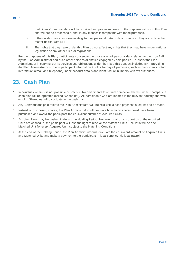participants' personal data will be obtained and processed only for the purposes set out in this Plan and will not be processed further in any manner incompatible with those purposes.

- ii. If they wish to raise an issue relating to their personal data or data protection, they are to take the matter up first with BHP.
- iii. The rights that they have under this Plan do not affect any rights that they may have under national legislation or any other rules or regulations.
- c. For the purposes of this Plan, participants consent to the processing of personal data relating to them by BHP, by the Plan Administrator and such other persons or entities engaged by said parties. To assist the Plan Administrator in carrying out its services and obligations under the Plan, this consent includes BHP providing the Plan Administrator with any participant information it holds for payroll purposes, such as participant contact information (email and telephone), bank account details and identification numbers with tax authorities.

#### <span id="page-9-0"></span>**23. Cash Plan**

- In countries where it is not possible or practical for participants to acquire or receive shares under Shareplus, a cash plan will be operated (called "Cashplus"). All participants who are located in the relevant country and who enrol in Shareplus will participate in the cash plan.
- b. Any Contributions paid over to the Plan Administrator will be held until a cash payment is required to be made.
- c. Instead of purchasing shares, the Plan Administrator will calculate how many shares could have been purchased and award the participant the equivalent number of Acquired Units.
- d. Acquired Units may be cashed in during the Holding Period. However, if all or a proportion of the Acquired Units are cashed in, the participant will lose the right to receive the Matched Units. The ratio will be one Matched Unit for every Acquired Unit, subject to the Matching Conditions.
- e. At the end of the Holding Period, the Plan Administrator will calculate the equivalent amount of Acquired Units and Matched Units and make a payment to the participant in local currency via local payroll.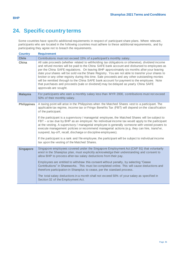## <span id="page-10-0"></span>**24. Specific country terms**

Some countries have specific additional requirements in respect of participant share plans. Where relevant, participants who are located in the following countries must adhere to these additional requirements, and by participating they agree not to breach the requirements.

| <b>Country</b>     | <b>Requirement</b>                                                                                                                                                                                                                                                                                                                                                                                                                                                                                                                                                                                                                                                                                                                                                                                                                                        |
|--------------------|-----------------------------------------------------------------------------------------------------------------------------------------------------------------------------------------------------------------------------------------------------------------------------------------------------------------------------------------------------------------------------------------------------------------------------------------------------------------------------------------------------------------------------------------------------------------------------------------------------------------------------------------------------------------------------------------------------------------------------------------------------------------------------------------------------------------------------------------------------------|
| <b>Chile</b>       | Contributions must not exceed 15% of a participant's monthly salary.                                                                                                                                                                                                                                                                                                                                                                                                                                                                                                                                                                                                                                                                                                                                                                                      |
| China              | All sale proceeds (whether related to withholding tax obligations or otherwise), dividend income<br>and refund monies will be paid to the China SAFE bank account and disbursed to employees as<br>per the China SAFE regulations. On leaving BHP approximately six months after your leaving<br>date your shares will be sold via the Share Registry. You are not able to transfer your shares to<br>broker or any other registry during this time. Sale proceeds and any other outstanding monies<br>will be remitted through to the China SAFE bank account for payment to the employee. Note<br>that purchases and proceeds (sale or dividend) may be delayed as yearly China SAFE<br>approvals are sought.                                                                                                                                           |
| <b>Malaysia</b>    | For participants who earn a monthly salary less than MYR 2000, contributions must not exceed<br>50% of their monthly salary.                                                                                                                                                                                                                                                                                                                                                                                                                                                                                                                                                                                                                                                                                                                              |
| <b>Philippines</b> | A taxing point will arise in the Philippines when the Matched Shares vest to a participant. The<br>applicable tax regime, income tax or Fringe Benefits Tax (FBT) will depend on the classification<br>of the participant.<br>If the participant is a supervisory / managerial employee, the Matched Shares will be subject to<br>FBT – a tax due by BHP as an employer. No individual income tax would apply to the participant<br>at the vesting. A supervisory / managerial employee is generally someone with vested powers to<br>execute management policies or recommend managerial actions (e.g. they can hire, transf er,<br>suspend, lay-off, recall, discharge or discipline employees).<br>If the participant is a rank and file employee, the participant will be subject to individual income<br>tax upon the vesting of the Matched Shares. |
| <b>Singapore</b>   | Singapore employees covered under the Singapore Employment Act (CAP 91) that voluntarily<br>enrol in the Shareplus plan, must explicitly acknowledge their understanding and consent to<br>allow BHP to process after-tax salary deductions from their pay.<br>Employees are entitled to withdraw this consent without penalty, by selecting "Cease<br>Contributions" in Shareworks. This must be completed online. This will cause deductions and<br>therefore participation in Shareplus to cease, per the standard process.<br>The total salary deductions in a month shall not exceed 50% of your salary as specified in<br>Section 32 of the Employment Act.                                                                                                                                                                                         |